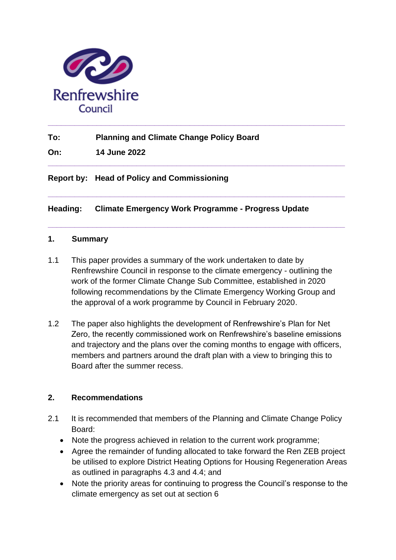

**To: Planning and Climate Change Policy Board**

**On: 14 June 2022**

**Report by: Head of Policy and Commissioning**

**Heading: Climate Emergency Work Programme - Progress Update**

**\_\_\_\_\_\_\_\_\_\_\_\_\_\_\_\_\_\_\_\_\_\_\_\_\_\_\_\_\_\_\_\_\_\_\_\_\_\_\_\_\_\_\_\_\_\_\_\_\_\_\_\_\_\_\_\_\_\_\_\_\_\_\_\_\_\_\_**

**\_\_\_\_\_\_\_\_\_\_\_\_\_\_\_\_\_\_\_\_\_\_\_\_\_\_\_\_\_\_\_\_\_\_\_\_\_\_\_\_\_\_\_\_\_\_\_\_\_\_\_\_\_\_\_\_\_\_\_\_\_\_\_\_\_\_\_**

**\_\_\_\_\_\_\_\_\_\_\_\_\_\_\_\_\_\_\_\_\_\_\_\_\_\_\_\_\_\_\_\_\_\_\_\_\_\_\_\_\_\_\_\_\_\_\_\_\_\_\_\_\_\_\_\_\_\_\_\_\_\_\_\_\_\_\_** 

#### **1. Summary**

- 1.1 This paper provides a summary of the work undertaken to date by Renfrewshire Council in response to the climate emergency - outlining the work of the former Climate Change Sub Committee, established in 2020 following recommendations by the Climate Emergency Working Group and the approval of a work programme by Council in February 2020.
- 1.2 The paper also highlights the development of Renfrewshire's Plan for Net Zero, the recently commissioned work on Renfrewshire's baseline emissions and trajectory and the plans over the coming months to engage with officers, members and partners around the draft plan with a view to bringing this to Board after the summer recess.

#### **2. Recommendations**

- 2.1 It is recommended that members of the Planning and Climate Change Policy Board:
	- Note the progress achieved in relation to the current work programme;
	- Agree the remainder of funding allocated to take forward the Ren ZEB project be utilised to explore District Heating Options for Housing Regeneration Areas as outlined in paragraphs 4.3 and 4.4; and
	- Note the priority areas for continuing to progress the Council's response to the climate emergency as set out at section 6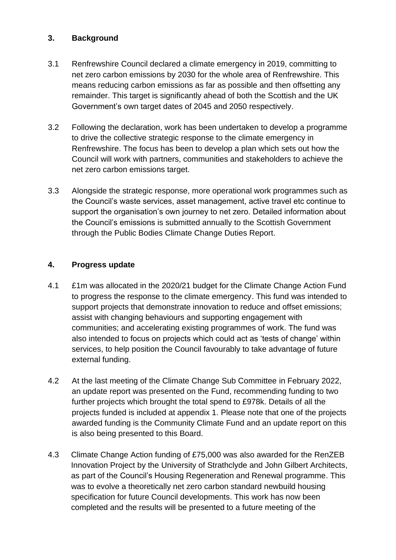#### **3. Background**

- 3.1 Renfrewshire Council declared a climate emergency in 2019, committing to net zero carbon emissions by 2030 for the whole area of Renfrewshire. This means reducing carbon emissions as far as possible and then offsetting any remainder. This target is significantly ahead of both the Scottish and the UK Government's own target dates of 2045 and 2050 respectively.
- 3.2 Following the declaration, work has been undertaken to develop a programme to drive the collective strategic response to the climate emergency in Renfrewshire. The focus has been to develop a plan which sets out how the Council will work with partners, communities and stakeholders to achieve the net zero carbon emissions target.
- 3.3 Alongside the strategic response, more operational work programmes such as the Council's waste services, asset management, active travel etc continue to support the organisation's own journey to net zero. Detailed information about the Council's emissions is submitted annually to the Scottish Government through the Public Bodies Climate Change Duties Report.

#### **4. Progress update**

- 4.1 £1m was allocated in the 2020/21 budget for the Climate Change Action Fund to progress the response to the climate emergency. This fund was intended to support projects that demonstrate innovation to reduce and offset emissions; assist with changing behaviours and supporting engagement with communities; and accelerating existing programmes of work. The fund was also intended to focus on projects which could act as 'tests of change' within services, to help position the Council favourably to take advantage of future external funding.
- 4.2 At the last meeting of the Climate Change Sub Committee in February 2022, an update report was presented on the Fund, recommending funding to two further projects which brought the total spend to £978k. Details of all the projects funded is included at appendix 1. Please note that one of the projects awarded funding is the Community Climate Fund and an update report on this is also being presented to this Board.
- 4.3 Climate Change Action funding of £75,000 was also awarded for the RenZEB Innovation Project by the University of Strathclyde and John Gilbert Architects, as part of the Council's Housing Regeneration and Renewal programme. This was to evolve a theoretically net zero carbon standard newbuild housing specification for future Council developments. This work has now been completed and the results will be presented to a future meeting of the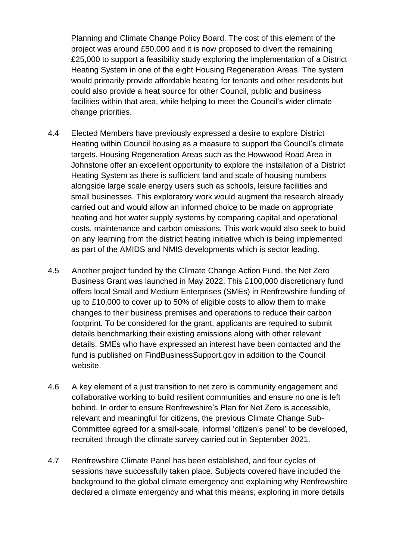Planning and Climate Change Policy Board. The cost of this element of the project was around £50,000 and it is now proposed to divert the remaining £25,000 to support a feasibility study exploring the implementation of a District Heating System in one of the eight Housing Regeneration Areas. The system would primarily provide affordable heating for tenants and other residents but could also provide a heat source for other Council, public and business facilities within that area, while helping to meet the Council's wider climate change priorities.

- 4.4 Elected Members have previously expressed a desire to explore District Heating within Council housing as a measure to support the Council's climate targets. Housing Regeneration Areas such as the Howwood Road Area in Johnstone offer an excellent opportunity to explore the installation of a District Heating System as there is sufficient land and scale of housing numbers alongside large scale energy users such as schools, leisure facilities and small businesses. This exploratory work would augment the research already carried out and would allow an informed choice to be made on appropriate heating and hot water supply systems by comparing capital and operational costs, maintenance and carbon omissions. This work would also seek to build on any learning from the district heating initiative which is being implemented as part of the AMIDS and NMIS developments which is sector leading.
- 4.5 Another project funded by the Climate Change Action Fund, the Net Zero Business Grant was launched in May 2022. This £100,000 discretionary fund offers local Small and Medium Enterprises (SMEs) in Renfrewshire funding of up to £10,000 to cover up to 50% of eligible costs to allow them to make changes to their business premises and operations to reduce their carbon footprint. To be considered for the grant, applicants are required to submit details benchmarking their existing emissions along with other relevant details. SMEs who have expressed an interest have been contacted and the fund is published on FindBusinessSupport.gov in addition to the Council website.
- 4.6 A key element of a just transition to net zero is community engagement and collaborative working to build resilient communities and ensure no one is left behind. In order to ensure Renfrewshire's Plan for Net Zero is accessible, relevant and meaningful for citizens, the previous Climate Change Sub-Committee agreed for a small-scale, informal 'citizen's panel' to be developed, recruited through the climate survey carried out in September 2021.
- 4.7 Renfrewshire Climate Panel has been established, and four cycles of sessions have successfully taken place. Subjects covered have included the background to the global climate emergency and explaining why Renfrewshire declared a climate emergency and what this means; exploring in more details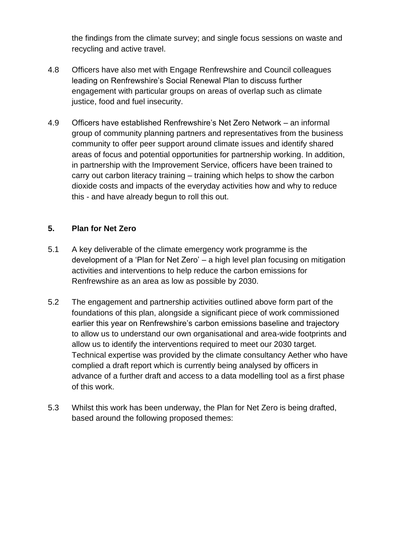the findings from the climate survey; and single focus sessions on waste and recycling and active travel.

- 4.8 Officers have also met with Engage Renfrewshire and Council colleagues leading on Renfrewshire's Social Renewal Plan to discuss further engagement with particular groups on areas of overlap such as climate justice, food and fuel insecurity.
- 4.9 Officers have established Renfrewshire's Net Zero Network an informal group of community planning partners and representatives from the business community to offer peer support around climate issues and identify shared areas of focus and potential opportunities for partnership working. In addition, in partnership with the Improvement Service, officers have been trained to carry out carbon literacy training – training which helps to show the carbon dioxide costs and impacts of the everyday activities how and why to reduce this - and have already begun to roll this out.

#### **5. Plan for Net Zero**

- 5.1 A key deliverable of the climate emergency work programme is the development of a 'Plan for Net Zero' – a high level plan focusing on mitigation activities and interventions to help reduce the carbon emissions for Renfrewshire as an area as low as possible by 2030.
- 5.2 The engagement and partnership activities outlined above form part of the foundations of this plan, alongside a significant piece of work commissioned earlier this year on Renfrewshire's carbon emissions baseline and trajectory to allow us to understand our own organisational and area-wide footprints and allow us to identify the interventions required to meet our 2030 target. Technical expertise was provided by the climate consultancy Aether who have complied a draft report which is currently being analysed by officers in advance of a further draft and access to a data modelling tool as a first phase of this work.
- 5.3 Whilst this work has been underway, the Plan for Net Zero is being drafted, based around the following proposed themes: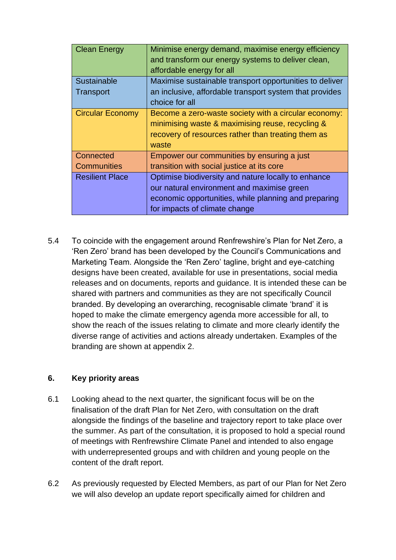| <b>Clean Energy</b>     | Minimise energy demand, maximise energy efficiency      |
|-------------------------|---------------------------------------------------------|
|                         | and transform our energy systems to deliver clean,      |
|                         | affordable energy for all                               |
| Sustainable             | Maximise sustainable transport opportunities to deliver |
| <b>Transport</b>        | an inclusive, affordable transport system that provides |
|                         | choice for all                                          |
| <b>Circular Economy</b> | Become a zero-waste society with a circular economy:    |
|                         | minimising waste & maximising reuse, recycling &        |
|                         | recovery of resources rather than treating them as      |
|                         | waste                                                   |
| Connected               | Empower our communities by ensuring a just              |
| <b>Communities</b>      | transition with social justice at its core              |
| <b>Resilient Place</b>  | Optimise biodiversity and nature locally to enhance     |
|                         | our natural environment and maximise green              |
|                         | economic opportunities, while planning and preparing    |
|                         | for impacts of climate change                           |

5.4 To coincide with the engagement around Renfrewshire's Plan for Net Zero, a 'Ren Zero' brand has been developed by the Council's Communications and Marketing Team. Alongside the 'Ren Zero' tagline, bright and eye-catching designs have been created, available for use in presentations, social media releases and on documents, reports and guidance. It is intended these can be shared with partners and communities as they are not specifically Council branded. By developing an overarching, recognisable climate 'brand' it is hoped to make the climate emergency agenda more accessible for all, to show the reach of the issues relating to climate and more clearly identify the diverse range of activities and actions already undertaken. Examples of the branding are shown at appendix 2.

#### **6. Key priority areas**

- 6.1 Looking ahead to the next quarter, the significant focus will be on the finalisation of the draft Plan for Net Zero, with consultation on the draft alongside the findings of the baseline and trajectory report to take place over the summer. As part of the consultation, it is proposed to hold a special round of meetings with Renfrewshire Climate Panel and intended to also engage with underrepresented groups and with children and young people on the content of the draft report.
- 6.2 As previously requested by Elected Members, as part of our Plan for Net Zero we will also develop an update report specifically aimed for children and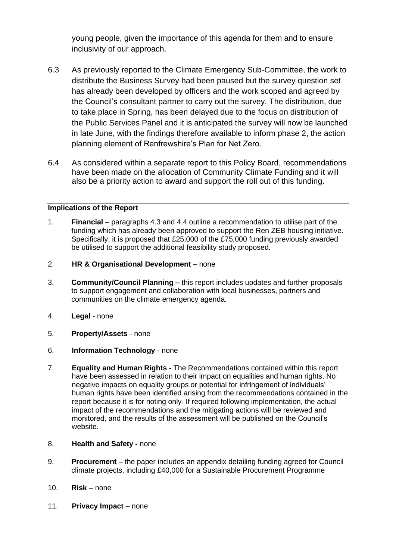young people, given the importance of this agenda for them and to ensure inclusivity of our approach.

- 6.3 As previously reported to the Climate Emergency Sub-Committee, the work to distribute the Business Survey had been paused but the survey question set has already been developed by officers and the work scoped and agreed by the Council's consultant partner to carry out the survey. The distribution, due to take place in Spring, has been delayed due to the focus on distribution of the Public Services Panel and it is anticipated the survey will now be launched in late June, with the findings therefore available to inform phase 2, the action planning element of Renfrewshire's Plan for Net Zero.
- 6.4 As considered within a separate report to this Policy Board, recommendations have been made on the allocation of Community Climate Funding and it will also be a priority action to award and support the roll out of this funding.

#### **Implications of the Report**

- 1. **Financial**  paragraphs 4.3 and 4.4 outline a recommendation to utilise part of the funding which has already been approved to support the Ren ZEB housing initiative. Specifically, it is proposed that £25,000 of the £75,000 funding previously awarded be utilised to support the additional feasibility study proposed.
- 2. **HR & Organisational Development**  none
- 3. **Community/Council Planning –** this report includes updates and further proposals to support engagement and collaboration with local businesses, partners and communities on the climate emergency agenda.
- 4. **Legal**  none
- 5. **Property/Assets**  none
- 6. **Information Technology**  none
- 7. **Equality and Human Rights -** The Recommendations contained within this report have been assessed in relation to their impact on equalities and human rights. No negative impacts on equality groups or potential for infringement of individuals' human rights have been identified arising from the recommendations contained in the report because it is for noting only. If required following implementation, the actual impact of the recommendations and the mitigating actions will be reviewed and monitored, and the results of the assessment will be published on the Council's website.
- 8. **Health and Safety -** none
- 9. **Procurement**  the paper includes an appendix detailing funding agreed for Council climate projects, including £40,000 for a Sustainable Procurement Programme
- 10. **Risk**  none
- 11. **Privacy Impact** none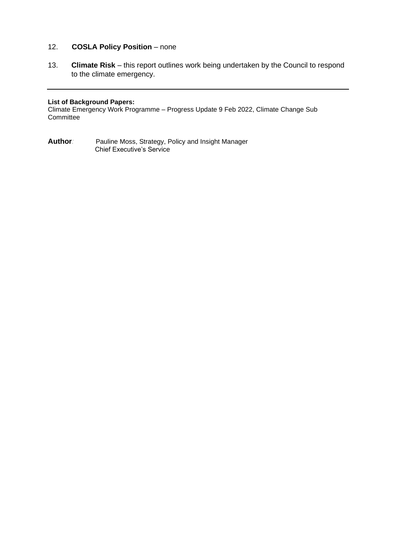#### 12. **COSLA Policy Position** – none

13. **Climate Risk** – this report outlines work being undertaken by the Council to respond to the climate emergency.

#### **List of Background Papers:**

Climate Emergency Work Programme – Progress Update 9 Feb 2022, Climate Change Sub **Committee** 

**Author***:* Pauline Moss, Strategy, Policy and Insight Manager Chief Executive's Service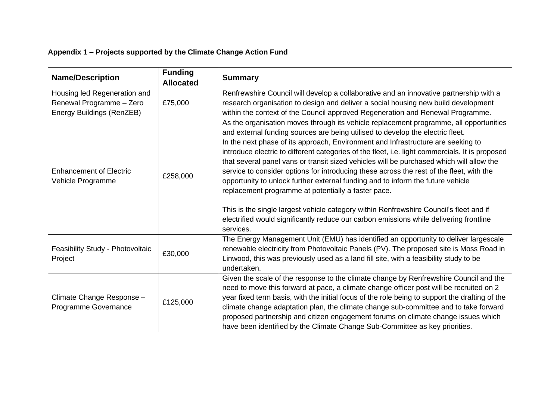### **Appendix 1 – Projects supported by the Climate Change Action Fund**

| <b>Name/Description</b>                                                               | <b>Funding</b><br><b>Allocated</b> | <b>Summary</b>                                                                                                                                                                                                                                                                                                                                                                                                                                                                                                                                                                                                                                                                                                                                                                                                                                                                                     |
|---------------------------------------------------------------------------------------|------------------------------------|----------------------------------------------------------------------------------------------------------------------------------------------------------------------------------------------------------------------------------------------------------------------------------------------------------------------------------------------------------------------------------------------------------------------------------------------------------------------------------------------------------------------------------------------------------------------------------------------------------------------------------------------------------------------------------------------------------------------------------------------------------------------------------------------------------------------------------------------------------------------------------------------------|
| Housing led Regeneration and<br>Renewal Programme - Zero<br>Energy Buildings (RenZEB) | £75,000                            | Renfrewshire Council will develop a collaborative and an innovative partnership with a<br>research organisation to design and deliver a social housing new build development<br>within the context of the Council approved Regeneration and Renewal Programme.                                                                                                                                                                                                                                                                                                                                                                                                                                                                                                                                                                                                                                     |
| <b>Enhancement of Electric</b><br>Vehicle Programme                                   | £258,000                           | As the organisation moves through its vehicle replacement programme, all opportunities<br>and external funding sources are being utilised to develop the electric fleet.<br>In the next phase of its approach, Environment and Infrastructure are seeking to<br>introduce electric to different categories of the fleet, i.e. light commercials. It is proposed<br>that several panel vans or transit sized vehicles will be purchased which will allow the<br>service to consider options for introducing these across the rest of the fleet, with the<br>opportunity to unlock further external funding and to inform the future vehicle<br>replacement programme at potentially a faster pace.<br>This is the single largest vehicle category within Renfrewshire Council's fleet and if<br>electrified would significantly reduce our carbon emissions while delivering frontline<br>services. |
| Feasibility Study - Photovoltaic<br>Project                                           | £30,000                            | The Energy Management Unit (EMU) has identified an opportunity to deliver largescale<br>renewable electricity from Photovoltaic Panels (PV). The proposed site is Moss Road in<br>Linwood, this was previously used as a land fill site, with a feasibility study to be<br>undertaken.                                                                                                                                                                                                                                                                                                                                                                                                                                                                                                                                                                                                             |
| Climate Change Response -<br>Programme Governance                                     | £125,000                           | Given the scale of the response to the climate change by Renfrewshire Council and the<br>need to move this forward at pace, a climate change officer post will be recruited on 2<br>year fixed term basis, with the initial focus of the role being to support the drafting of the<br>climate change adaptation plan, the climate change sub-committee and to take forward<br>proposed partnership and citizen engagement forums on climate change issues which<br>have been identified by the Climate Change Sub-Committee as key priorities.                                                                                                                                                                                                                                                                                                                                                     |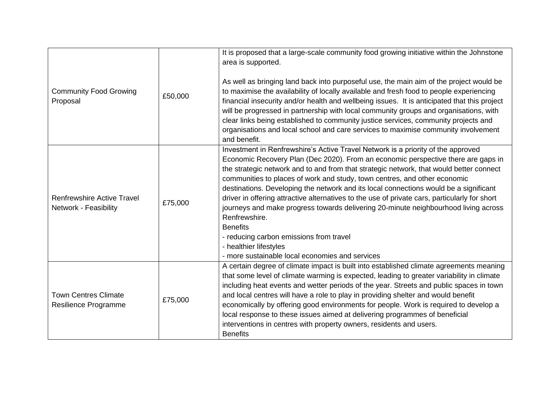|                                                     |         | It is proposed that a large-scale community food growing initiative within the Johnstone<br>area is supported.                                                                                                                                                                                                                                                                                                                                                                                                                                                                                                                                                                                                                                                                             |
|-----------------------------------------------------|---------|--------------------------------------------------------------------------------------------------------------------------------------------------------------------------------------------------------------------------------------------------------------------------------------------------------------------------------------------------------------------------------------------------------------------------------------------------------------------------------------------------------------------------------------------------------------------------------------------------------------------------------------------------------------------------------------------------------------------------------------------------------------------------------------------|
| <b>Community Food Growing</b><br>Proposal           | £50,000 | As well as bringing land back into purposeful use, the main aim of the project would be<br>to maximise the availability of locally available and fresh food to people experiencing<br>financial insecurity and/or health and wellbeing issues. It is anticipated that this project<br>will be progressed in partnership with local community groups and organisations, with<br>clear links being established to community justice services, community projects and<br>organisations and local school and care services to maximise community involvement<br>and benefit.                                                                                                                                                                                                                   |
| Renfrewshire Active Travel<br>Network - Feasibility | £75,000 | Investment in Renfrewshire's Active Travel Network is a priority of the approved<br>Economic Recovery Plan (Dec 2020). From an economic perspective there are gaps in<br>the strategic network and to and from that strategic network, that would better connect<br>communities to places of work and study, town centres, and other economic<br>destinations. Developing the network and its local connections would be a significant<br>driver in offering attractive alternatives to the use of private cars, particularly for short<br>journeys and make progress towards delivering 20-minute neighbourhood living across<br>Renfrewshire.<br><b>Benefits</b><br>- reducing carbon emissions from travel<br>- healthier lifestyles<br>- more sustainable local economies and services |
| <b>Town Centres Climate</b><br>Resilience Programme | £75,000 | A certain degree of climate impact is built into established climate agreements meaning<br>that some level of climate warming is expected, leading to greater variability in climate<br>including heat events and wetter periods of the year. Streets and public spaces in town<br>and local centres will have a role to play in providing shelter and would benefit<br>economically by offering good environments for people. Work is required to develop a<br>local response to these issues aimed at delivering programmes of beneficial<br>interventions in centres with property owners, residents and users.<br><b>Benefits</b>                                                                                                                                                      |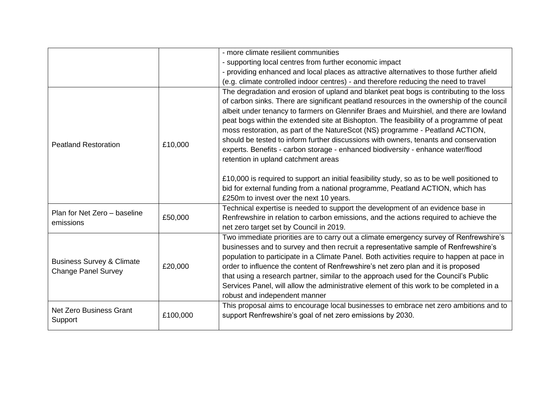|                                                                    |          | - more climate resilient communities                                                                                                                                                                                                                                                                                                                                                                                                                                                                                                                                                                                                                                           |
|--------------------------------------------------------------------|----------|--------------------------------------------------------------------------------------------------------------------------------------------------------------------------------------------------------------------------------------------------------------------------------------------------------------------------------------------------------------------------------------------------------------------------------------------------------------------------------------------------------------------------------------------------------------------------------------------------------------------------------------------------------------------------------|
|                                                                    |          | - supporting local centres from further economic impact                                                                                                                                                                                                                                                                                                                                                                                                                                                                                                                                                                                                                        |
|                                                                    |          | - providing enhanced and local places as attractive alternatives to those further afield                                                                                                                                                                                                                                                                                                                                                                                                                                                                                                                                                                                       |
|                                                                    |          | (e.g. climate controlled indoor centres) - and therefore reducing the need to travel                                                                                                                                                                                                                                                                                                                                                                                                                                                                                                                                                                                           |
| <b>Peatland Restoration</b>                                        | £10,000  | The degradation and erosion of upland and blanket peat bogs is contributing to the loss<br>of carbon sinks. There are significant peatland resources in the ownership of the council<br>albeit under tenancy to farmers on Glennifer Braes and Muirshiel, and there are lowland<br>peat bogs within the extended site at Bishopton. The feasibility of a programme of peat<br>moss restoration, as part of the NatureScot (NS) programme - Peatland ACTION,<br>should be tested to inform further discussions with owners, tenants and conservation<br>experts. Benefits - carbon storage - enhanced biodiversity - enhance water/flood<br>retention in upland catchment areas |
|                                                                    |          | £10,000 is required to support an initial feasibility study, so as to be well positioned to<br>bid for external funding from a national programme, Peatland ACTION, which has<br>£250m to invest over the next 10 years.                                                                                                                                                                                                                                                                                                                                                                                                                                                       |
| Plan for Net Zero - baseline<br>emissions                          | £50,000  | Technical expertise is needed to support the development of an evidence base in<br>Renfrewshire in relation to carbon emissions, and the actions required to achieve the<br>net zero target set by Council in 2019.                                                                                                                                                                                                                                                                                                                                                                                                                                                            |
| <b>Business Survey &amp; Climate</b><br><b>Change Panel Survey</b> | £20,000  | Two immediate priorities are to carry out a climate emergency survey of Renfrewshire's<br>businesses and to survey and then recruit a representative sample of Renfrewshire's<br>population to participate in a Climate Panel. Both activities require to happen at pace in<br>order to influence the content of Renfrewshire's net zero plan and it is proposed<br>that using a research partner, similar to the approach used for the Council's Public<br>Services Panel, will allow the administrative element of this work to be completed in a<br>robust and independent manner                                                                                           |
| <b>Net Zero Business Grant</b><br>Support                          | £100,000 | This proposal aims to encourage local businesses to embrace net zero ambitions and to<br>support Renfrewshire's goal of net zero emissions by 2030.                                                                                                                                                                                                                                                                                                                                                                                                                                                                                                                            |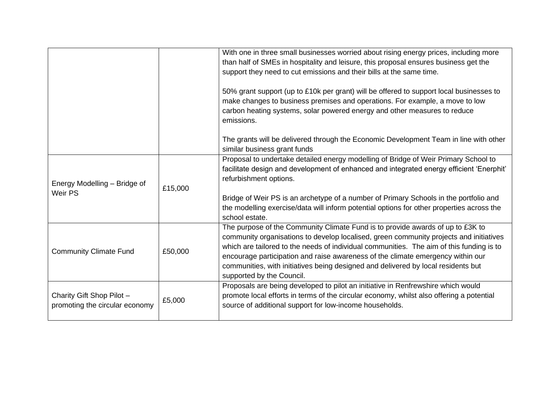|                                                             |         | With one in three small businesses worried about rising energy prices, including more<br>than half of SMEs in hospitality and leisure, this proposal ensures business get the<br>support they need to cut emissions and their bills at the same time.<br>50% grant support (up to £10k per grant) will be offered to support local businesses to<br>make changes to business premises and operations. For example, a move to low<br>carbon heating systems, solar powered energy and other measures to reduce<br>emissions. |
|-------------------------------------------------------------|---------|-----------------------------------------------------------------------------------------------------------------------------------------------------------------------------------------------------------------------------------------------------------------------------------------------------------------------------------------------------------------------------------------------------------------------------------------------------------------------------------------------------------------------------|
|                                                             |         | The grants will be delivered through the Economic Development Team in line with other<br>similar business grant funds                                                                                                                                                                                                                                                                                                                                                                                                       |
| Energy Modelling - Bridge of<br>Weir PS                     | £15,000 | Proposal to undertake detailed energy modelling of Bridge of Weir Primary School to<br>facilitate design and development of enhanced and integrated energy efficient 'Enerphit'<br>refurbishment options.                                                                                                                                                                                                                                                                                                                   |
|                                                             |         | Bridge of Weir PS is an archetype of a number of Primary Schools in the portfolio and<br>the modelling exercise/data will inform potential options for other properties across the<br>school estate.                                                                                                                                                                                                                                                                                                                        |
| <b>Community Climate Fund</b>                               | £50,000 | The purpose of the Community Climate Fund is to provide awards of up to £3K to<br>community organisations to develop localised, green community projects and initiatives<br>which are tailored to the needs of individual communities. The aim of this funding is to<br>encourage participation and raise awareness of the climate emergency within our<br>communities, with initiatives being designed and delivered by local residents but<br>supported by the Council.                                                   |
| Charity Gift Shop Pilot -<br>promoting the circular economy | £5,000  | Proposals are being developed to pilot an initiative in Renfrewshire which would<br>promote local efforts in terms of the circular economy, whilst also offering a potential<br>source of additional support for low-income households.                                                                                                                                                                                                                                                                                     |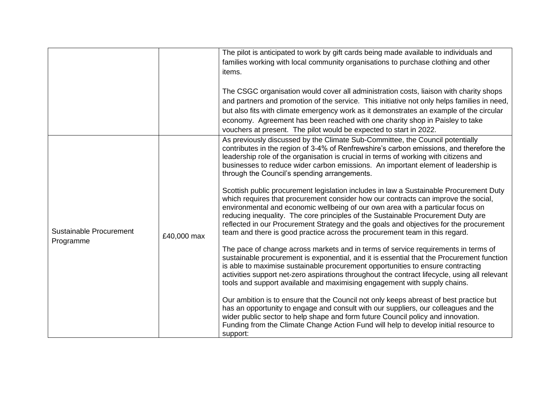|                                             |             | The pilot is anticipated to work by gift cards being made available to individuals and<br>families working with local community organisations to purchase clothing and other<br>items.                                                                                                                                                                                                                                                                                                                                       |
|---------------------------------------------|-------------|------------------------------------------------------------------------------------------------------------------------------------------------------------------------------------------------------------------------------------------------------------------------------------------------------------------------------------------------------------------------------------------------------------------------------------------------------------------------------------------------------------------------------|
|                                             |             | The CSGC organisation would cover all administration costs, liaison with charity shops<br>and partners and promotion of the service. This initiative not only helps families in need,<br>but also fits with climate emergency work as it demonstrates an example of the circular<br>economy. Agreement has been reached with one charity shop in Paisley to take<br>vouchers at present. The pilot would be expected to start in 2022.                                                                                       |
| <b>Sustainable Procurement</b><br>Programme | £40,000 max | As previously discussed by the Climate Sub-Committee, the Council potentially<br>contributes in the region of 3-4% of Renfrewshire's carbon emissions, and therefore the<br>leadership role of the organisation is crucial in terms of working with citizens and<br>businesses to reduce wider carbon emissions. An important element of leadership is<br>through the Council's spending arrangements.                                                                                                                       |
|                                             |             | Scottish public procurement legislation includes in law a Sustainable Procurement Duty<br>which requires that procurement consider how our contracts can improve the social,<br>environmental and economic wellbeing of our own area with a particular focus on<br>reducing inequality. The core principles of the Sustainable Procurement Duty are<br>reflected in our Procurement Strategy and the goals and objectives for the procurement<br>team and there is good practice across the procurement team in this regard. |
|                                             |             | The pace of change across markets and in terms of service requirements in terms of<br>sustainable procurement is exponential, and it is essential that the Procurement function<br>is able to maximise sustainable procurement opportunities to ensure contracting<br>activities support net-zero aspirations throughout the contract lifecycle, using all relevant<br>tools and support available and maximising engagement with supply chains.                                                                             |
|                                             |             | Our ambition is to ensure that the Council not only keeps abreast of best practice but<br>has an opportunity to engage and consult with our suppliers, our colleagues and the<br>wider public sector to help shape and form future Council policy and innovation.<br>Funding from the Climate Change Action Fund will help to develop initial resource to<br>support:                                                                                                                                                        |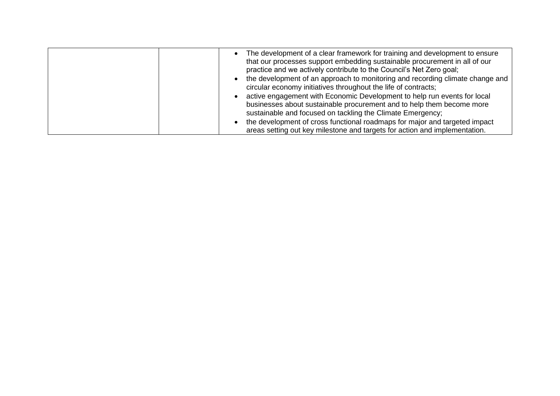| The development of a clear framework for training and development to ensure<br>that our processes support embedding sustainable procurement in all of our<br>practice and we actively contribute to the Council's Net Zero goal; |
|----------------------------------------------------------------------------------------------------------------------------------------------------------------------------------------------------------------------------------|
| the development of an approach to monitoring and recording climate change and<br>circular economy initiatives throughout the life of contracts;                                                                                  |
| active engagement with Economic Development to help run events for local<br>businesses about sustainable procurement and to help them become more<br>sustainable and focused on tackling the Climate Emergency;                  |
| the development of cross functional roadmaps for major and targeted impact<br>areas setting out key milestone and targets for action and implementation.                                                                         |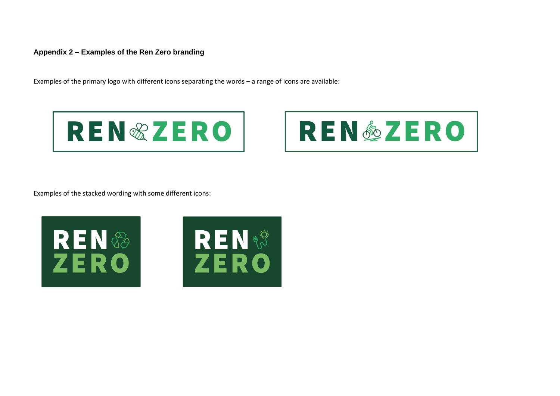#### **Appendix 2 – Examples of the Ren Zero branding**

Examples of the primary logo with different icons separating the words – a range of icons are available:



![](_page_13_Picture_3.jpeg)

Examples of the stacked wording with some different icons:

![](_page_13_Picture_5.jpeg)

![](_page_13_Picture_6.jpeg)